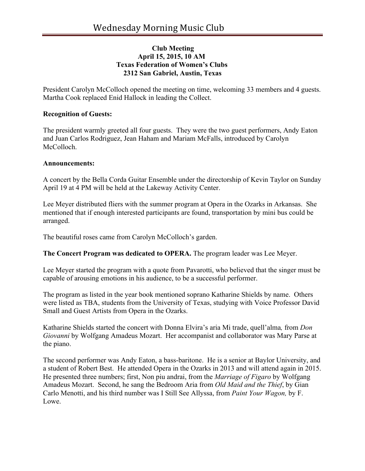## **Club Meeting April 15, 2015, 10 AM Texas Federation of Women's Clubs 2312 San Gabriel, Austin, Texas**

President Carolyn McColloch opened the meeting on time, welcoming 33 members and 4 guests. Martha Cook replaced Enid Hallock in leading the Collect.

## **Recognition of Guests:**

The president warmly greeted all four guests. They were the two guest performers, Andy Eaton and Juan Carlos Rodriguez, Jean Haham and Mariam McFalls, introduced by Carolyn McColloch.

## **Announcements:**

A concert by the Bella Corda Guitar Ensemble under the directorship of Kevin Taylor on Sunday April 19 at 4 PM will be held at the Lakeway Activity Center.

Lee Meyer distributed fliers with the summer program at Opera in the Ozarks in Arkansas. She mentioned that if enough interested participants are found, transportation by mini bus could be arranged.

The beautiful roses came from Carolyn McColloch's garden.

**The Concert Program was dedicated to OPERA.** The program leader was Lee Meyer.

Lee Meyer started the program with a quote from Pavarotti, who believed that the singer must be capable of arousing emotions in his audience, to be a successful performer.

The program as listed in the year book mentioned soprano Katharine Shields by name. Others were listed as TBA, students from the University of Texas, studying with Voice Professor David Small and Guest Artists from Opera in the Ozarks.

Katharine Shields started the concert with Donna Elvira's aria Mi trade, quell'alma*,* from *Don Giovanni* by Wolfgang Amadeus Mozart. Her accompanist and collaborator was Mary Parse at the piano.

The second performer was Andy Eaton, a bass-baritone. He is a senior at Baylor University, and a student of Robert Best. He attended Opera in the Ozarks in 2013 and will attend again in 2015. He presented three numbers; first, Non piu andrai, from the *Marriage of Figaro* by Wolfgang Amadeus Mozart. Second, he sang the Bedroom Aria from *Old Maid and the Thief*, by Gian Carlo Menotti, and his third number was I Still See Allyssa, from *Paint Your Wagon,* by F. Lowe.